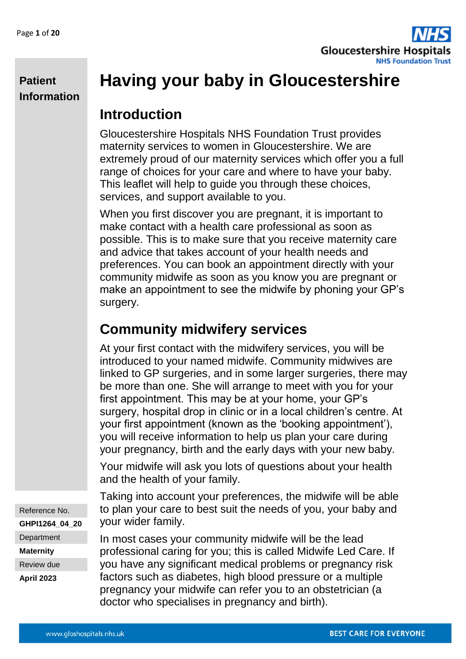

# **Having your baby in Gloucestershire**

### **Introduction**

Gloucestershire Hospitals NHS Foundation Trust provides maternity services to women in Gloucestershire. We are extremely proud of our maternity services which offer you a full range of choices for your care and where to have your baby. This leaflet will help to guide you through these choices, services, and support available to you.

When you first discover you are pregnant, it is important to make contact with a health care professional as soon as possible. This is to make sure that you receive maternity care and advice that takes account of your health needs and preferences. You can book an appointment directly with your community midwife as soon as you know you are pregnant or make an appointment to see the midwife by phoning your GP's surgery.

## **Community midwifery services**

At your first contact with the midwifery services, you will be introduced to your named midwife. Community midwives are linked to GP surgeries, and in some larger surgeries, there may be more than one. She will arrange to meet with you for your first appointment. This may be at your home, your GP's surgery, hospital drop in clinic or in a local children's centre. At your first appointment (known as the 'booking appointment'), you will receive information to help us plan your care during your pregnancy, birth and the early days with your new baby.

Your midwife will ask you lots of questions about your health and the health of your family.

Taking into account your preferences, the midwife will be able to plan your care to best suit the needs of you, your baby and your wider family.

In most cases your community midwife will be the lead professional caring for you; this is called Midwife Led Care. If you have any significant medical problems or pregnancy risk factors such as diabetes, high blood pressure or a multiple pregnancy your midwife can refer you to an obstetrician (a doctor who specialises in pregnancy and birth).

Reference No. **GHPI1264\_04\_20 Department Maternity** Review due **April 2023**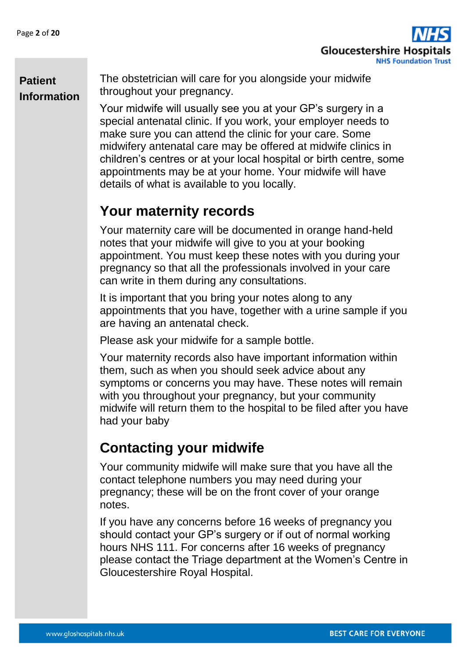

The obstetrician will care for you alongside your midwife throughout your pregnancy.

Your midwife will usually see you at your GP's surgery in a special antenatal clinic. If you work, your employer needs to make sure you can attend the clinic for your care. Some midwifery antenatal care may be offered at midwife clinics in children's centres or at your local hospital or birth centre, some appointments may be at your home. Your midwife will have details of what is available to you locally.

## **Your maternity records**

Your maternity care will be documented in orange hand-held notes that your midwife will give to you at your booking appointment. You must keep these notes with you during your pregnancy so that all the professionals involved in your care can write in them during any consultations.

It is important that you bring your notes along to any appointments that you have, together with a urine sample if you are having an antenatal check.

Please ask your midwife for a sample bottle.

Your maternity records also have important information within them, such as when you should seek advice about any symptoms or concerns you may have. These notes will remain with you throughout your pregnancy, but your community midwife will return them to the hospital to be filed after you have had your baby

## **Contacting your midwife**

Your community midwife will make sure that you have all the contact telephone numbers you may need during your pregnancy; these will be on the front cover of your orange notes.

If you have any concerns before 16 weeks of pregnancy you should contact your GP's surgery or if out of normal working hours NHS 111. For concerns after 16 weeks of pregnancy please contact the Triage department at the Women's Centre in Gloucestershire Royal Hospital.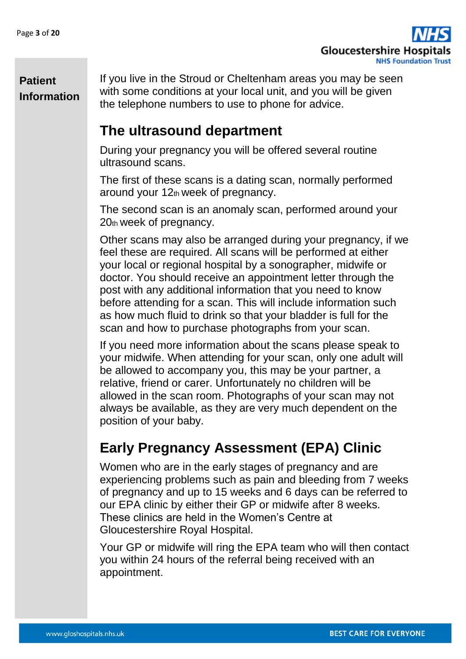

If you live in the Stroud or Cheltenham areas you may be seen with some conditions at your local unit, and you will be given the telephone numbers to use to phone for advice.

### **The ultrasound department**

During your pregnancy you will be offered several routine ultrasound scans.

The first of these scans is a dating scan, normally performed around your 12th week of pregnancy.

The second scan is an anomaly scan, performed around your 20th week of pregnancy.

Other scans may also be arranged during your pregnancy, if we feel these are required. All scans will be performed at either your local or regional hospital by a sonographer, midwife or doctor. You should receive an appointment letter through the post with any additional information that you need to know before attending for a scan. This will include information such as how much fluid to drink so that your bladder is full for the scan and how to purchase photographs from your scan.

If you need more information about the scans please speak to your midwife. When attending for your scan, only one adult will be allowed to accompany you, this may be your partner, a relative, friend or carer. Unfortunately no children will be allowed in the scan room. Photographs of your scan may not always be available, as they are very much dependent on the position of your baby.

## **Early Pregnancy Assessment (EPA) Clinic**

Women who are in the early stages of pregnancy and are experiencing problems such as pain and bleeding from 7 weeks of pregnancy and up to 15 weeks and 6 days can be referred to our EPA clinic by either their GP or midwife after 8 weeks. These clinics are held in the Women's Centre at Gloucestershire Royal Hospital.

Your GP or midwife will ring the EPA team who will then contact you within 24 hours of the referral being received with an appointment.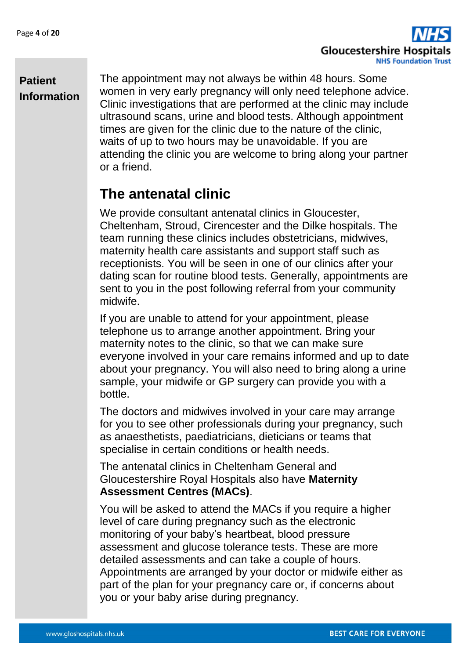

The appointment may not always be within 48 hours. Some women in very early pregnancy will only need telephone advice. Clinic investigations that are performed at the clinic may include ultrasound scans, urine and blood tests. Although appointment times are given for the clinic due to the nature of the clinic, waits of up to two hours may be unavoidable. If you are attending the clinic you are welcome to bring along your partner or a friend.

## **The antenatal clinic**

We provide consultant antenatal clinics in Gloucester, Cheltenham, Stroud, Cirencester and the Dilke hospitals. The team running these clinics includes obstetricians, midwives, maternity health care assistants and support staff such as receptionists. You will be seen in one of our clinics after your dating scan for routine blood tests. Generally, appointments are sent to you in the post following referral from your community midwife.

If you are unable to attend for your appointment, please telephone us to arrange another appointment. Bring your maternity notes to the clinic, so that we can make sure everyone involved in your care remains informed and up to date about your pregnancy. You will also need to bring along a urine sample, your midwife or GP surgery can provide you with a bottle.

The doctors and midwives involved in your care may arrange for you to see other professionals during your pregnancy, such as anaesthetists, paediatricians, dieticians or teams that specialise in certain conditions or health needs.

The antenatal clinics in Cheltenham General and Gloucestershire Royal Hospitals also have **Maternity Assessment Centres (MACs)**.

You will be asked to attend the MACs if you require a higher level of care during pregnancy such as the electronic monitoring of your baby's heartbeat, blood pressure assessment and glucose tolerance tests. These are more detailed assessments and can take a couple of hours. Appointments are arranged by your doctor or midwife either as part of the plan for your pregnancy care or, if concerns about you or your baby arise during pregnancy.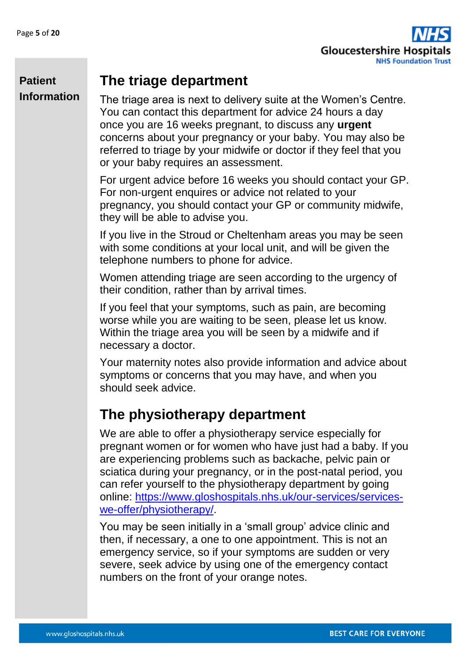

### **The triage department**

The triage area is next to delivery suite at the Women's Centre. You can contact this department for advice 24 hours a day once you are 16 weeks pregnant, to discuss any **urgent**  concerns about your pregnancy or your baby. You may also be referred to triage by your midwife or doctor if they feel that you or your baby requires an assessment.

For urgent advice before 16 weeks you should contact your GP. For non-urgent enquires or advice not related to your pregnancy, you should contact your GP or community midwife, they will be able to advise you.

If you live in the Stroud or Cheltenham areas you may be seen with some conditions at your local unit, and will be given the telephone numbers to phone for advice.

Women attending triage are seen according to the urgency of their condition, rather than by arrival times.

If you feel that your symptoms, such as pain, are becoming worse while you are waiting to be seen, please let us know. Within the triage area you will be seen by a midwife and if necessary a doctor.

Your maternity notes also provide information and advice about symptoms or concerns that you may have, and when you should seek advice.

## **The physiotherapy department**

We are able to offer a physiotherapy service especially for pregnant women or for women who have just had a baby. If you are experiencing problems such as backache, pelvic pain or sciatica during your pregnancy, or in the post-natal period, you can refer yourself to the physiotherapy department by going online: [https://www.gloshospitals.nhs.uk/our-services/services](https://www.gloshospitals.nhs.uk/our-services/services-we-offer/physiotherapy/)[we-offer/physiotherapy/.](https://www.gloshospitals.nhs.uk/our-services/services-we-offer/physiotherapy/)

You may be seen initially in a 'small group' advice clinic and then, if necessary, a one to one appointment. This is not an emergency service, so if your symptoms are sudden or very severe, seek advice by using one of the emergency contact numbers on the front of your orange notes.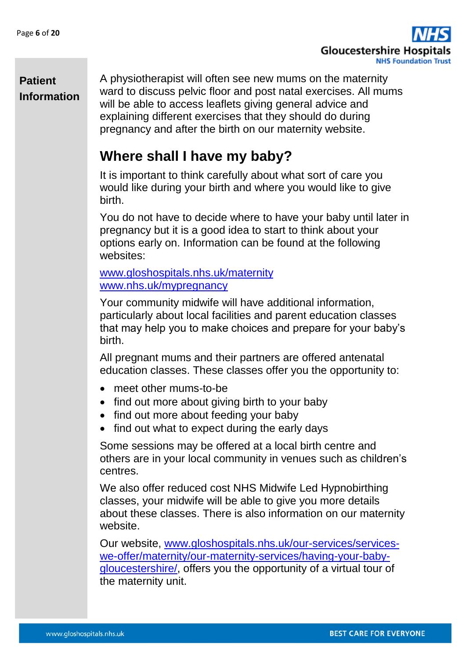

A physiotherapist will often see new mums on the maternity ward to discuss pelvic floor and post natal exercises. All mums will be able to access leaflets giving general advice and explaining different exercises that they should do during pregnancy and after the birth on our maternity website.

## **Where shall I have my baby?**

It is important to think carefully about what sort of care you would like during your birth and where you would like to give birth.

You do not have to decide where to have your baby until later in pregnancy but it is a good idea to start to think about your options early on. Information can be found at the following websites:

[www.gloshospitals.nhs.uk/maternity](http://www.gloshospitals.nhs.uk/maternity) [www.nhs.uk/mypregnancy](http://www.nhs.uk/mypregnancy)

Your community midwife will have additional information, particularly about local facilities and parent education classes that may help you to make choices and prepare for your baby's birth.

All pregnant mums and their partners are offered antenatal education classes. These classes offer you the opportunity to:

- meet other mums-to-be
- find out more about giving birth to your baby
- find out more about feeding your baby
- find out what to expect during the early days

Some sessions may be offered at a local birth centre and others are in your local community in venues such as children's centres.

We also offer reduced cost NHS Midwife Led Hypnobirthing classes, your midwife will be able to give you more details about these classes. There is also information on our maternity website.

Our website, [www.gloshospitals.nhs.uk/our-services/services](http://www.gloshospitals.nhs.uk/our-services/services-we-offer/maternity/our-maternity-services/having-your-baby-gloucestershire/)[we-offer/maternity/our-maternity-services/having-your-baby](http://www.gloshospitals.nhs.uk/our-services/services-we-offer/maternity/our-maternity-services/having-your-baby-gloucestershire/)[gloucestershire/,](http://www.gloshospitals.nhs.uk/our-services/services-we-offer/maternity/our-maternity-services/having-your-baby-gloucestershire/) offers you the opportunity of a virtual tour of the maternity unit.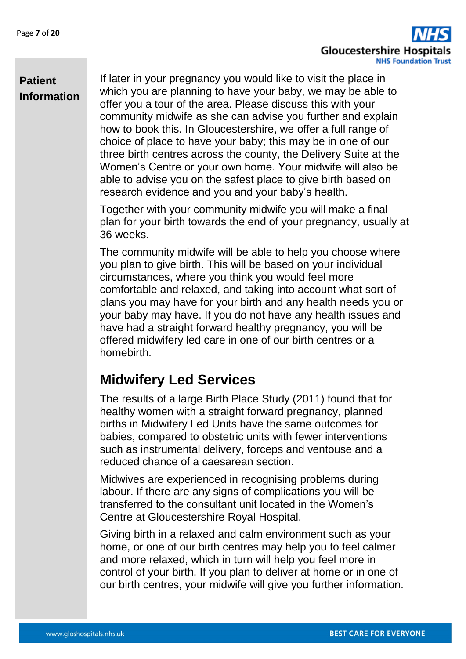

If later in your pregnancy you would like to visit the place in which you are planning to have your baby, we may be able to offer you a tour of the area. Please discuss this with your community midwife as she can advise you further and explain how to book this. In Gloucestershire, we offer a full range of choice of place to have your baby; this may be in one of our three birth centres across the county, the Delivery Suite at the Women's Centre or your own home. Your midwife will also be able to advise you on the safest place to give birth based on research evidence and you and your baby's health.

Together with your community midwife you will make a final plan for your birth towards the end of your pregnancy, usually at 36 weeks.

The community midwife will be able to help you choose where you plan to give birth. This will be based on your individual circumstances, where you think you would feel more comfortable and relaxed, and taking into account what sort of plans you may have for your birth and any health needs you or your baby may have. If you do not have any health issues and have had a straight forward healthy pregnancy, you will be offered midwifery led care in one of our birth centres or a homebirth.

## **Midwifery Led Services**

The results of a large Birth Place Study (2011) found that for healthy women with a straight forward pregnancy, planned births in Midwifery Led Units have the same outcomes for babies, compared to obstetric units with fewer interventions such as instrumental delivery, forceps and ventouse and a reduced chance of a caesarean section.

Midwives are experienced in recognising problems during labour. If there are any signs of complications you will be transferred to the consultant unit located in the Women's Centre at Gloucestershire Royal Hospital.

Giving birth in a relaxed and calm environment such as your home, or one of our birth centres may help you to feel calmer and more relaxed, which in turn will help you feel more in control of your birth. If you plan to deliver at home or in one of our birth centres, your midwife will give you further information.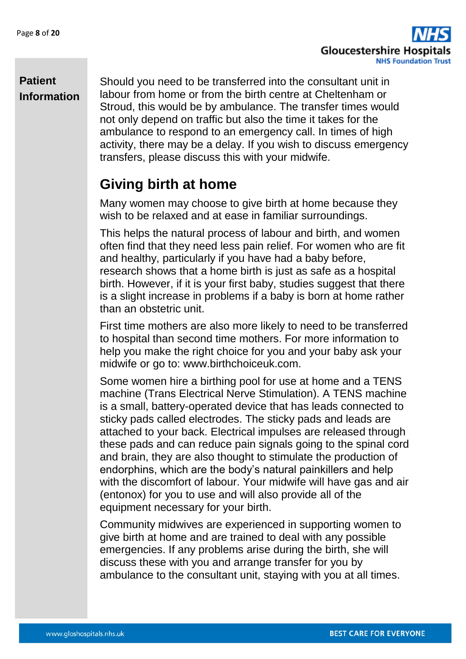

Should you need to be transferred into the consultant unit in labour from home or from the birth centre at Cheltenham or Stroud, this would be by ambulance. The transfer times would not only depend on traffic but also the time it takes for the ambulance to respond to an emergency call. In times of high activity, there may be a delay. If you wish to discuss emergency transfers, please discuss this with your midwife.

## **Giving birth at home**

Many women may choose to give birth at home because they wish to be relaxed and at ease in familiar surroundings.

This helps the natural process of labour and birth, and women often find that they need less pain relief. For women who are fit and healthy, particularly if you have had a baby before, research shows that a home birth is just as safe as a hospital birth. However, if it is your first baby, studies suggest that there is a slight increase in problems if a baby is born at home rather than an obstetric unit.

First time mothers are also more likely to need to be transferred to hospital than second time mothers. For more information to help you make the right choice for you and your baby ask your midwife or go to: www.birthchoiceuk.com.

Some women hire a birthing pool for use at home and a TENS machine (Trans Electrical Nerve Stimulation). A TENS machine is a small, battery-operated device that has leads connected to sticky pads called electrodes. The sticky pads and leads are attached to your back. Electrical impulses are released through these pads and can reduce pain signals going to the spinal cord and brain, they are also thought to stimulate the production of endorphins, which are the body's natural painkillers and help with the discomfort of labour. Your midwife will have gas and air (entonox) for you to use and will also provide all of the equipment necessary for your birth.

Community midwives are experienced in supporting women to give birth at home and are trained to deal with any possible emergencies. If any problems arise during the birth, she will discuss these with you and arrange transfer for you by ambulance to the consultant unit, staying with you at all times.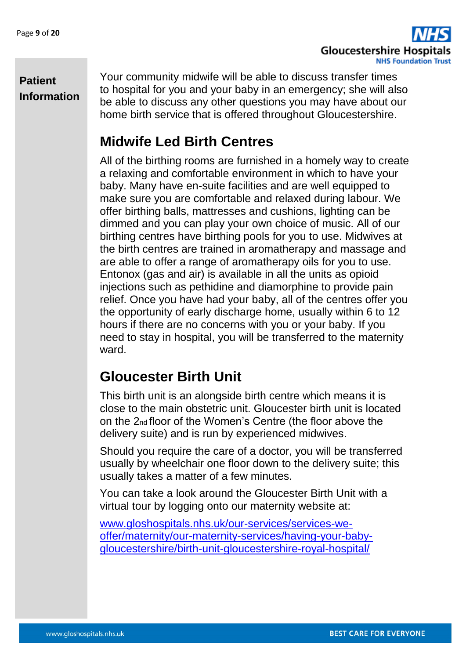

Your community midwife will be able to discuss transfer times to hospital for you and your baby in an emergency; she will also be able to discuss any other questions you may have about our home birth service that is offered throughout Gloucestershire.

## **Midwife Led Birth Centres**

All of the birthing rooms are furnished in a homely way to create a relaxing and comfortable environment in which to have your baby. Many have en-suite facilities and are well equipped to make sure you are comfortable and relaxed during labour. We offer birthing balls, mattresses and cushions, lighting can be dimmed and you can play your own choice of music. All of our birthing centres have birthing pools for you to use. Midwives at the birth centres are trained in aromatherapy and massage and are able to offer a range of aromatherapy oils for you to use. Entonox (gas and air) is available in all the units as opioid injections such as pethidine and diamorphine to provide pain relief. Once you have had your baby, all of the centres offer you the opportunity of early discharge home, usually within 6 to 12 hours if there are no concerns with you or your baby. If you need to stay in hospital, you will be transferred to the maternity ward.

### **Gloucester Birth Unit**

This birth unit is an alongside birth centre which means it is close to the main obstetric unit. Gloucester birth unit is located on the 2nd floor of the Women's Centre (the floor above the delivery suite) and is run by experienced midwives.

Should you require the care of a doctor, you will be transferred usually by wheelchair one floor down to the delivery suite; this usually takes a matter of a few minutes.

You can take a look around the Gloucester Birth Unit with a virtual tour by logging onto our maternity website at:

[www.gloshospitals.nhs.uk/our-services/services-we](http://www.gloshospitals.nhs.uk/our-services/services-we-offer/maternity/our-maternity-services/having-your-baby-gloucestershire/birth-unit-gloucestershire-royal-hospital/)[offer/maternity/our-maternity-services/having-your-baby](http://www.gloshospitals.nhs.uk/our-services/services-we-offer/maternity/our-maternity-services/having-your-baby-gloucestershire/birth-unit-gloucestershire-royal-hospital/)[gloucestershire/birth-unit-gloucestershire-royal-hospital/](http://www.gloshospitals.nhs.uk/our-services/services-we-offer/maternity/our-maternity-services/having-your-baby-gloucestershire/birth-unit-gloucestershire-royal-hospital/)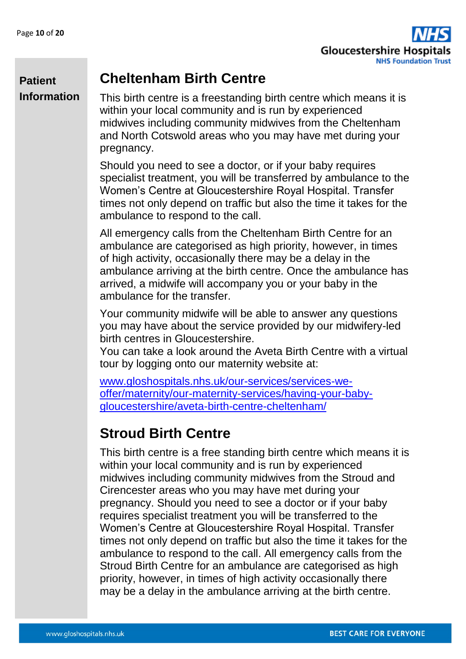**Patient** 



### **Cheltenham Birth Centre**

**Information**

This birth centre is a freestanding birth centre which means it is within your local community and is run by experienced midwives including community midwives from the Cheltenham and North Cotswold areas who you may have met during your pregnancy.

Should you need to see a doctor, or if your baby requires specialist treatment, you will be transferred by ambulance to the Women's Centre at Gloucestershire Royal Hospital. Transfer times not only depend on traffic but also the time it takes for the ambulance to respond to the call.

All emergency calls from the Cheltenham Birth Centre for an ambulance are categorised as high priority, however, in times of high activity, occasionally there may be a delay in the ambulance arriving at the birth centre. Once the ambulance has arrived, a midwife will accompany you or your baby in the ambulance for the transfer.

Your community midwife will be able to answer any questions you may have about the service provided by our midwifery-led birth centres in Gloucestershire.

You can take a look around the Aveta Birth Centre with a virtual tour by logging onto our maternity website at:

[www.gloshospitals.nhs.uk/our-services/services-we](http://www.gloshospitals.nhs.uk/our-services/services-we-offer/maternity/our-maternity-services/having-your-baby-gloucestershire/aveta-birth-centre-cheltenham/)[offer/maternity/our-maternity-services/having-your-baby](http://www.gloshospitals.nhs.uk/our-services/services-we-offer/maternity/our-maternity-services/having-your-baby-gloucestershire/aveta-birth-centre-cheltenham/)[gloucestershire/aveta-birth-centre-cheltenham/](http://www.gloshospitals.nhs.uk/our-services/services-we-offer/maternity/our-maternity-services/having-your-baby-gloucestershire/aveta-birth-centre-cheltenham/)

## **Stroud Birth Centre**

This birth centre is a free standing birth centre which means it is within your local community and is run by experienced midwives including community midwives from the Stroud and Cirencester areas who you may have met during your pregnancy. Should you need to see a doctor or if your baby requires specialist treatment you will be transferred to the Women's Centre at Gloucestershire Royal Hospital. Transfer times not only depend on traffic but also the time it takes for the ambulance to respond to the call. All emergency calls from the Stroud Birth Centre for an ambulance are categorised as high priority, however, in times of high activity occasionally there may be a delay in the ambulance arriving at the birth centre.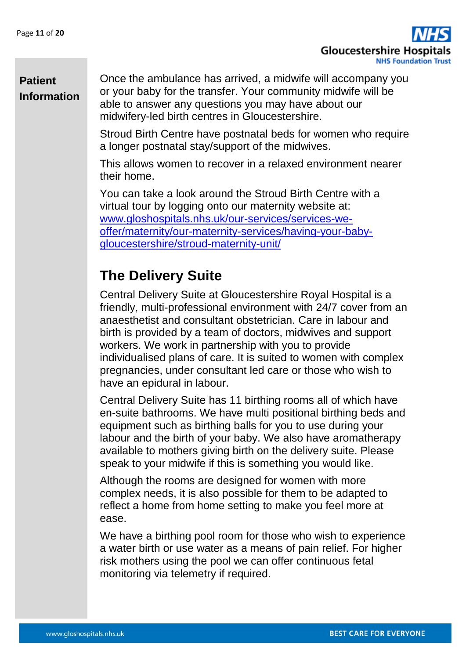

Once the ambulance has arrived, a midwife will accompany you or your baby for the transfer. Your community midwife will be able to answer any questions you may have about our midwifery-led birth centres in Gloucestershire.

Stroud Birth Centre have postnatal beds for women who require a longer postnatal stay/support of the midwives.

This allows women to recover in a relaxed environment nearer their home.

You can take a look around the Stroud Birth Centre with a virtual tour by logging onto our maternity website at: [www.gloshospitals.nhs.uk/our-services/services-we](http://www.gloshospitals.nhs.uk/our-services/services-we-offer/maternity/our-maternity-services/having-your-baby-gloucestershire/stroud-maternity-unit/)[offer/maternity/our-maternity-services/having-your-baby](http://www.gloshospitals.nhs.uk/our-services/services-we-offer/maternity/our-maternity-services/having-your-baby-gloucestershire/stroud-maternity-unit/)[gloucestershire/stroud-maternity-unit/](http://www.gloshospitals.nhs.uk/our-services/services-we-offer/maternity/our-maternity-services/having-your-baby-gloucestershire/stroud-maternity-unit/)

## **The Delivery Suite**

Central Delivery Suite at Gloucestershire Royal Hospital is a friendly, multi-professional environment with 24/7 cover from an anaesthetist and consultant obstetrician. Care in labour and birth is provided by a team of doctors, midwives and support workers. We work in partnership with you to provide individualised plans of care. It is suited to women with complex pregnancies, under consultant led care or those who wish to have an epidural in labour.

Central Delivery Suite has 11 birthing rooms all of which have en-suite bathrooms. We have multi positional birthing beds and equipment such as birthing balls for you to use during your labour and the birth of your baby. We also have aromatherapy available to mothers giving birth on the delivery suite. Please speak to your midwife if this is something you would like.

Although the rooms are designed for women with more complex needs, it is also possible for them to be adapted to reflect a home from home setting to make you feel more at ease.

We have a birthing pool room for those who wish to experience a water birth or use water as a means of pain relief. For higher risk mothers using the pool we can offer continuous fetal monitoring via telemetry if required.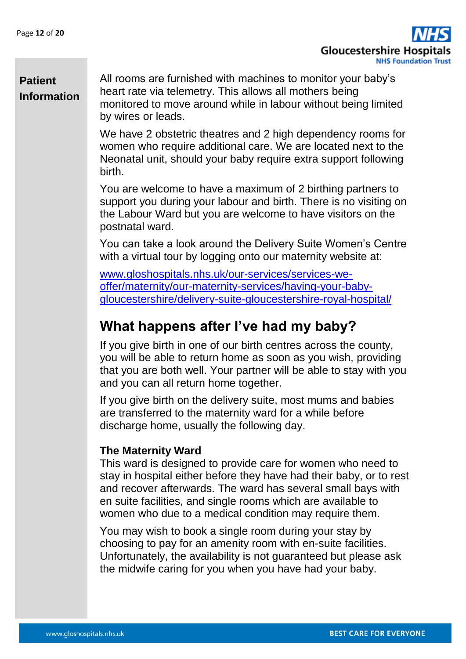

All rooms are furnished with machines to monitor your baby's heart rate via telemetry. This allows all mothers being monitored to move around while in labour without being limited by wires or leads.

We have 2 obstetric theatres and 2 high dependency rooms for women who require additional care. We are located next to the Neonatal unit, should your baby require extra support following birth.

You are welcome to have a maximum of 2 birthing partners to support you during your labour and birth. There is no visiting on the Labour Ward but you are welcome to have visitors on the postnatal ward.

You can take a look around the Delivery Suite Women's Centre with a virtual tour by logging onto our maternity website at:

[www.gloshospitals.nhs.uk/our-services/services-we](http://www.gloshospitals.nhs.uk/our-services/services-we-offer/maternity/our-maternity-services/having-your-baby-gloucestershire/delivery-suite-gloucestershire-royal-hospital/)[offer/maternity/our-maternity-services/having-your-baby](http://www.gloshospitals.nhs.uk/our-services/services-we-offer/maternity/our-maternity-services/having-your-baby-gloucestershire/delivery-suite-gloucestershire-royal-hospital/)[gloucestershire/delivery-suite-gloucestershire-royal-hospital/](http://www.gloshospitals.nhs.uk/our-services/services-we-offer/maternity/our-maternity-services/having-your-baby-gloucestershire/delivery-suite-gloucestershire-royal-hospital/)

## **What happens after I've had my baby?**

If you give birth in one of our birth centres across the county, you will be able to return home as soon as you wish, providing that you are both well. Your partner will be able to stay with you and you can all return home together.

If you give birth on the delivery suite, most mums and babies are transferred to the maternity ward for a while before discharge home, usually the following day.

#### **The Maternity Ward**

This ward is designed to provide care for women who need to stay in hospital either before they have had their baby, or to rest and recover afterwards. The ward has several small bays with en suite facilities, and single rooms which are available to women who due to a medical condition may require them.

You may wish to book a single room during your stay by choosing to pay for an amenity room with en-suite facilities. Unfortunately, the availability is not guaranteed but please ask the midwife caring for you when you have had your baby.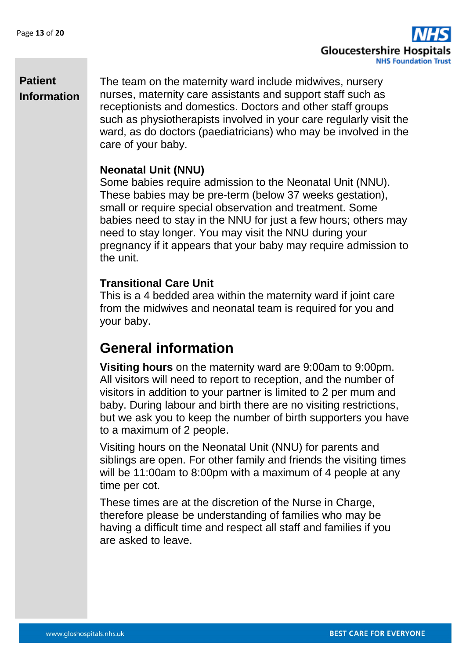

The team on the maternity ward include midwives, nursery nurses, maternity care assistants and support staff such as receptionists and domestics. Doctors and other staff groups such as physiotherapists involved in your care regularly visit the ward, as do doctors (paediatricians) who may be involved in the care of your baby.

#### **Neonatal Unit (NNU)**

Some babies require admission to the Neonatal Unit (NNU). These babies may be pre-term (below 37 weeks gestation), small or require special observation and treatment. Some babies need to stay in the NNU for just a few hours; others may need to stay longer. You may visit the NNU during your pregnancy if it appears that your baby may require admission to the unit.

#### **Transitional Care Unit**

This is a 4 bedded area within the maternity ward if joint care from the midwives and neonatal team is required for you and your baby.

### **General information**

**Visiting hours** on the maternity ward are 9:00am to 9:00pm. All visitors will need to report to reception, and the number of visitors in addition to your partner is limited to 2 per mum and baby. During labour and birth there are no visiting restrictions, but we ask you to keep the number of birth supporters you have to a maximum of 2 people.

Visiting hours on the Neonatal Unit (NNU) for parents and siblings are open. For other family and friends the visiting times will be 11:00am to 8:00pm with a maximum of 4 people at any time per cot.

These times are at the discretion of the Nurse in Charge, therefore please be understanding of families who may be having a difficult time and respect all staff and families if you are asked to leave.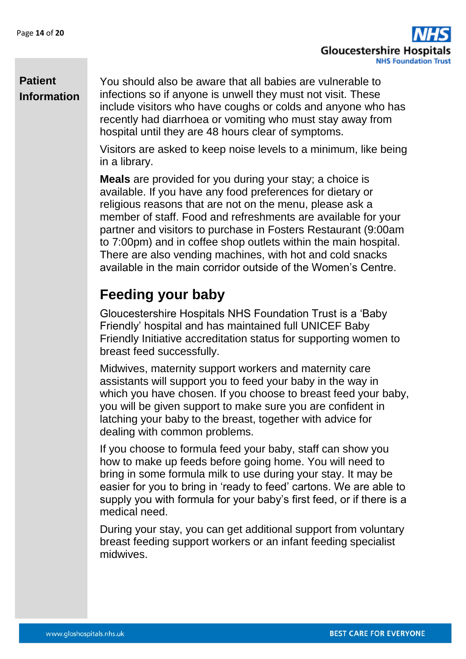**Gloucestershire Hospit NHS Foundation Trust** 

### **Patient Information**

You should also be aware that all babies are vulnerable to infections so if anyone is unwell they must not visit. These include visitors who have coughs or colds and anyone who has recently had diarrhoea or vomiting who must stay away from hospital until they are 48 hours clear of symptoms.

Visitors are asked to keep noise levels to a minimum, like being in a library.

**Meals** are provided for you during your stay; a choice is available. If you have any food preferences for dietary or religious reasons that are not on the menu, please ask a member of staff. Food and refreshments are available for your partner and visitors to purchase in Fosters Restaurant (9:00am to 7:00pm) and in coffee shop outlets within the main hospital. There are also vending machines, with hot and cold snacks available in the main corridor outside of the Women's Centre.

## **Feeding your baby**

Gloucestershire Hospitals NHS Foundation Trust is a 'Baby Friendly' hospital and has maintained full UNICEF Baby Friendly Initiative accreditation status for supporting women to breast feed successfully.

Midwives, maternity support workers and maternity care assistants will support you to feed your baby in the way in which you have chosen. If you choose to breast feed your baby, you will be given support to make sure you are confident in latching your baby to the breast, together with advice for dealing with common problems.

If you choose to formula feed your baby, staff can show you how to make up feeds before going home. You will need to bring in some formula milk to use during your stay. It may be easier for you to bring in 'ready to feed' cartons. We are able to supply you with formula for your baby's first feed, or if there is a medical need.

During your stay, you can get additional support from voluntary breast feeding support workers or an infant feeding specialist midwives.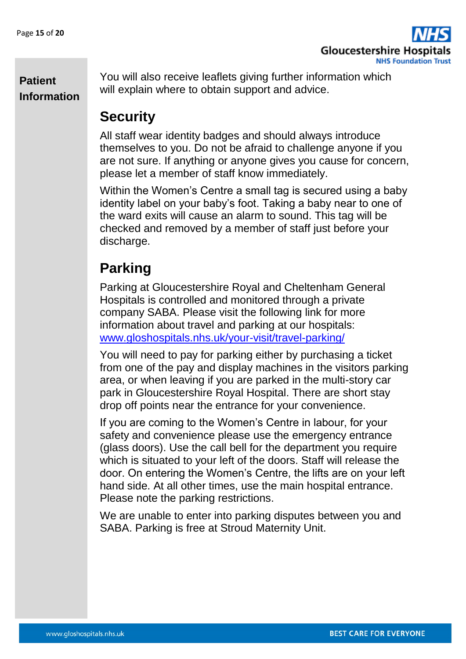

You will also receive leaflets giving further information which will explain where to obtain support and advice.

## **Security**

All staff wear identity badges and should always introduce themselves to you. Do not be afraid to challenge anyone if you are not sure. If anything or anyone gives you cause for concern, please let a member of staff know immediately.

Within the Women's Centre a small tag is secured using a baby identity label on your baby's foot. Taking a baby near to one of the ward exits will cause an alarm to sound. This tag will be checked and removed by a member of staff just before your discharge.

## **Parking**

Parking at Gloucestershire Royal and Cheltenham General Hospitals is controlled and monitored through a private company SABA. Please visit the following link for more information about travel and parking at our hospitals: [www.gloshospitals.nhs.uk/your-visit/travel-parking/](http://www.gloshospitals.nhs.uk/your-visit/travel-parking/)

You will need to pay for parking either by purchasing a ticket from one of the pay and display machines in the visitors parking area, or when leaving if you are parked in the multi-story car park in Gloucestershire Royal Hospital. There are short stay drop off points near the entrance for your convenience.

If you are coming to the Women's Centre in labour, for your safety and convenience please use the emergency entrance (glass doors). Use the call bell for the department you require which is situated to your left of the doors. Staff will release the door. On entering the Women's Centre, the lifts are on your left hand side. At all other times, use the main hospital entrance. Please note the parking restrictions.

We are unable to enter into parking disputes between you and SABA. Parking is free at Stroud Maternity Unit.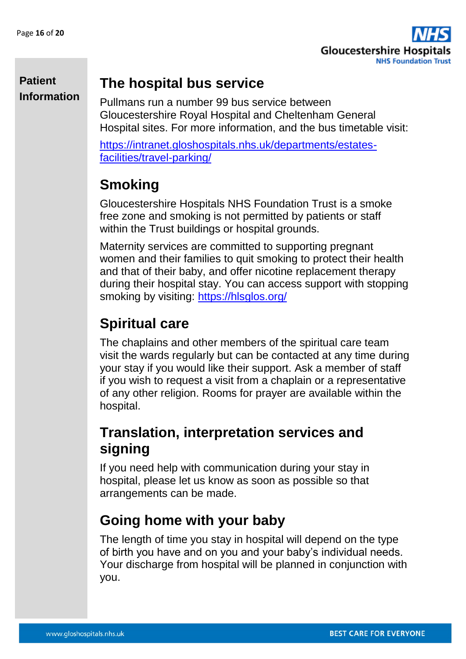

### **The hospital bus service**

Pullmans run a number 99 bus service between Gloucestershire Royal Hospital and Cheltenham General Hospital sites. For more information, and the bus timetable visit:

[https://intranet.gloshospitals.nhs.uk/departments/estates](https://intranet.gloshospitals.nhs.uk/departments/estates-facilities/travel-parking/)[facilities/travel-parking/](https://intranet.gloshospitals.nhs.uk/departments/estates-facilities/travel-parking/)

## **Smoking**

Gloucestershire Hospitals NHS Foundation Trust is a smoke free zone and smoking is not permitted by patients or staff within the Trust buildings or hospital grounds.

Maternity services are committed to supporting pregnant women and their families to quit smoking to protect their health and that of their baby, and offer nicotine replacement therapy during their hospital stay. You can access support with stopping smoking by visiting:<https://hlsglos.org/>

## **Spiritual care**

The chaplains and other members of the spiritual care team visit the wards regularly but can be contacted at any time during your stay if you would like their support. Ask a member of staff if you wish to request a visit from a chaplain or a representative of any other religion. Rooms for prayer are available within the hospital.

## **Translation, interpretation services and signing**

If you need help with communication during your stay in hospital, please let us know as soon as possible so that arrangements can be made.

## **Going home with your baby**

The length of time you stay in hospital will depend on the type of birth you have and on you and your baby's individual needs. Your discharge from hospital will be planned in conjunction with you.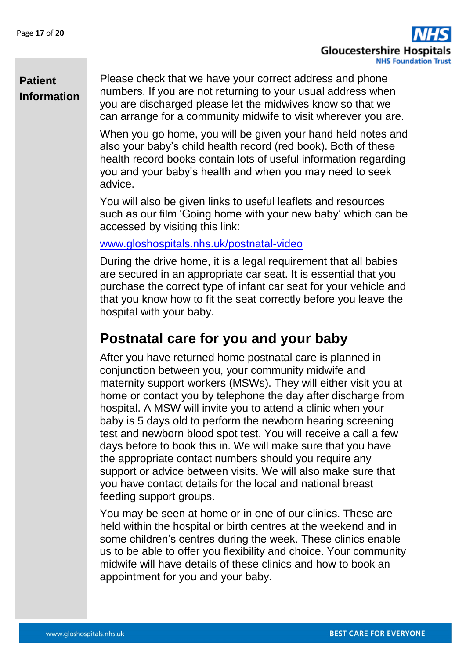

Please check that we have your correct address and phone numbers. If you are not returning to your usual address when you are discharged please let the midwives know so that we can arrange for a community midwife to visit wherever you are.

When you go home, you will be given your hand held notes and also your baby's child health record (red book). Both of these health record books contain lots of useful information regarding you and your baby's health and when you may need to seek advice.

You will also be given links to useful leaflets and resources such as our film 'Going home with your new baby' which can be accessed by visiting this link:

#### [www.gloshospitals.nhs.uk/postnatal-video](http://www.gloshospitals.nhs.uk/postnatal-video)

During the drive home, it is a legal requirement that all babies are secured in an appropriate car seat. It is essential that you purchase the correct type of infant car seat for your vehicle and that you know how to fit the seat correctly before you leave the hospital with your baby.

### **Postnatal care for you and your baby**

After you have returned home postnatal care is planned in conjunction between you, your community midwife and maternity support workers (MSWs). They will either visit you at home or contact you by telephone the day after discharge from hospital. A MSW will invite you to attend a clinic when your baby is 5 days old to perform the newborn hearing screening test and newborn blood spot test. You will receive a call a few days before to book this in. We will make sure that you have the appropriate contact numbers should you require any support or advice between visits. We will also make sure that you have contact details for the local and national breast feeding support groups.

You may be seen at home or in one of our clinics. These are held within the hospital or birth centres at the weekend and in some children's centres during the week. These clinics enable us to be able to offer you flexibility and choice. Your community midwife will have details of these clinics and how to book an appointment for you and your baby.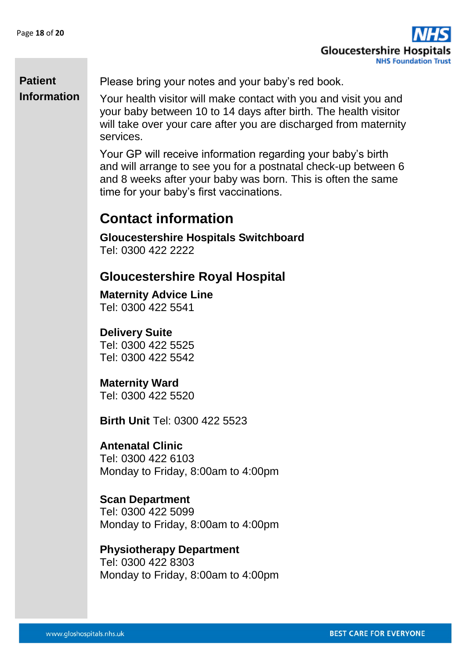**Gloucestershire Hospit NHS Foundation Trust** 

### **Patient Information**

Please bring your notes and your baby's red book.

Your health visitor will make contact with you and visit you and your baby between 10 to 14 days after birth. The health visitor will take over your care after you are discharged from maternity services.

Your GP will receive information regarding your baby's birth and will arrange to see you for a postnatal check-up between 6 and 8 weeks after your baby was born. This is often the same time for your baby's first vaccinations.

### **Contact information**

**Gloucestershire Hospitals Switchboard**  Tel: 0300 422 2222

### **Gloucestershire Royal Hospital**

**Maternity Advice Line**  Tel: 0300 422 5541

#### **Delivery Suite**

Tel: 0300 422 5525 Tel: 0300 422 5542

#### **Maternity Ward**

Tel: 0300 422 5520

**Birth Unit** Tel: 0300 422 5523

#### **Antenatal Clinic**

Tel: 0300 422 6103 Monday to Friday, 8:00am to 4:00pm

#### **Scan Department**

Tel: 0300 422 5099 Monday to Friday, 8:00am to 4:00pm

**Physiotherapy Department**  Tel: 0300 422 8303 Monday to Friday, 8:00am to 4:00pm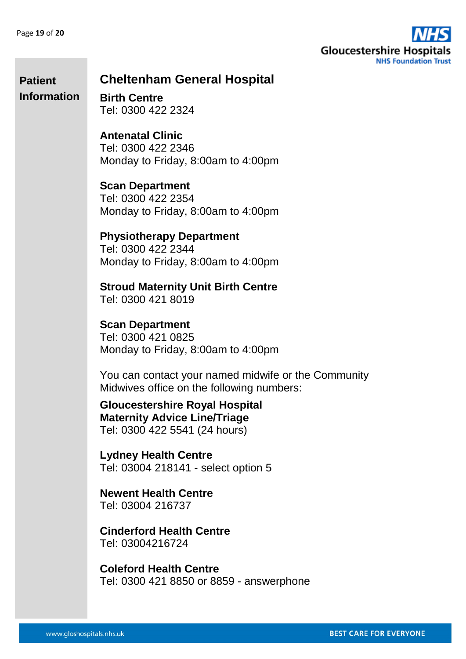**Patient** 



#### **Cheltenham General Hospital**

**Birth Centre**  Tel: 0300 422 2324 **Information**

> **Antenatal Clinic**  Tel: 0300 422 2346 Monday to Friday, 8:00am to 4:00pm

> **Scan Department**  Tel: 0300 422 2354 Monday to Friday, 8:00am to 4:00pm

**Physiotherapy Department**  Tel: 0300 422 2344 Monday to Friday, 8:00am to 4:00pm

**Stroud Maternity Unit Birth Centre**  Tel: 0300 421 8019

**Scan Department**  Tel: 0300 421 0825 Monday to Friday, 8:00am to 4:00pm

You can contact your named midwife or the Community Midwives office on the following numbers:

**Gloucestershire Royal Hospital Maternity Advice Line/Triage**  Tel: 0300 422 5541 (24 hours)

**Lydney Health Centre**  Tel: 03004 218141 - select option 5

**Newent Health Centre**  Tel: 03004 216737

**Cinderford Health Centre**  Tel: 03004216724

**Coleford Health Centre**  Tel: 0300 421 8850 or 8859 - answerphone